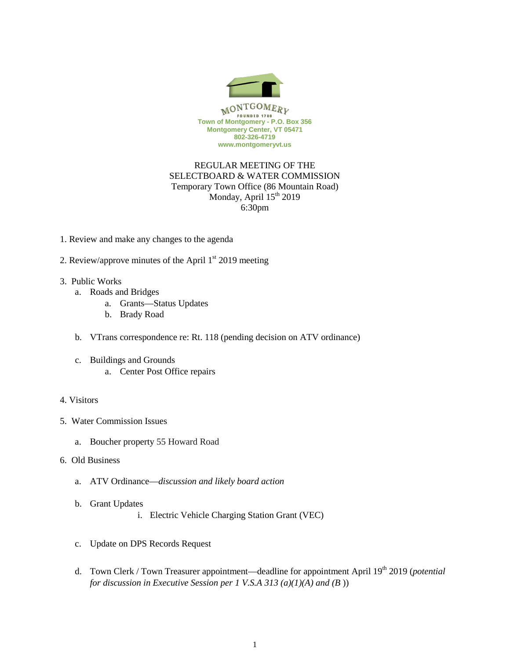

## REGULAR MEETING OF THE SELECTBOARD & WATER COMMISSION Temporary Town Office (86 Mountain Road) Monday, April 15<sup>th</sup> 2019 6:30pm

- 1. Review and make any changes to the agenda
- 2. Review/approve minutes of the April  $1<sup>st</sup>$  2019 meeting
- 3. Public Works
	- a. Roads and Bridges
		- a. Grants—Status Updates
		- b. Brady Road
	- b. VTrans correspondence re: Rt. 118 (pending decision on ATV ordinance)
	- c. Buildings and Grounds
		- a. Center Post Office repairs

## 4. Visitors

- 5. Water Commission Issues
	- a. Boucher property 55 Howard Road
- 6. Old Business
	- a. ATV Ordinance—*discussion and likely board action*
	- b. Grant Updates
		- i. Electric Vehicle Charging Station Grant (VEC)
	- c. Update on DPS Records Request
	- d. Town Clerk / Town Treasurer appointment—deadline for appointment April 19<sup>th</sup> 2019 (*potential for discussion in Executive Session per 1 V.S.A 313 (a)(1)(A) and (B* ))